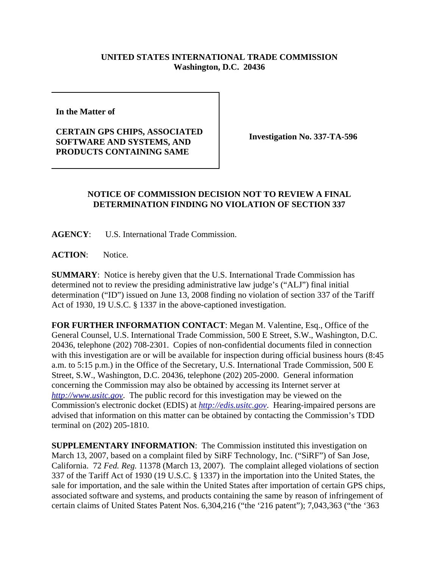## **UNITED STATES INTERNATIONAL TRADE COMMISSION Washington, D.C. 20436**

**In the Matter of** 

**CERTAIN GPS CHIPS, ASSOCIATED SOFTWARE AND SYSTEMS, AND PRODUCTS CONTAINING SAME**

**Investigation No. 337-TA-596**

## **NOTICE OF COMMISSION DECISION NOT TO REVIEW A FINAL DETERMINATION FINDING NO VIOLATION OF SECTION 337**

**AGENCY**: U.S. International Trade Commission.

ACTION: Notice.

**SUMMARY**: Notice is hereby given that the U.S. International Trade Commission has determined not to review the presiding administrative law judge's ("ALJ") final initial determination ("ID") issued on June 13, 2008 finding no violation of section 337 of the Tariff Act of 1930, 19 U.S.C. § 1337 in the above-captioned investigation.

**FOR FURTHER INFORMATION CONTACT**: Megan M. Valentine, Esq., Office of the General Counsel, U.S. International Trade Commission, 500 E Street, S.W., Washington, D.C. 20436, telephone (202) 708-2301. Copies of non-confidential documents filed in connection with this investigation are or will be available for inspection during official business hours (8:45 a.m. to 5:15 p.m.) in the Office of the Secretary, U.S. International Trade Commission, 500 E Street, S.W., Washington, D.C. 20436, telephone (202) 205-2000. General information concerning the Commission may also be obtained by accessing its Internet server at *http://www.usitc.gov*. The public record for this investigation may be viewed on the Commission's electronic docket (EDIS) at *http://edis.usitc.gov*. Hearing-impaired persons are advised that information on this matter can be obtained by contacting the Commission's TDD terminal on (202) 205-1810.

**SUPPLEMENTARY INFORMATION**: The Commission instituted this investigation on March 13, 2007, based on a complaint filed by SiRF Technology, Inc. ("SiRF") of San Jose, California. 72 *Fed. Reg.* 11378 (March 13, 2007). The complaint alleged violations of section 337 of the Tariff Act of 1930 (19 U.S.C. § 1337) in the importation into the United States, the sale for importation, and the sale within the United States after importation of certain GPS chips, associated software and systems, and products containing the same by reason of infringement of certain claims of United States Patent Nos. 6,304,216 ("the '216 patent"); 7,043,363 ("the '363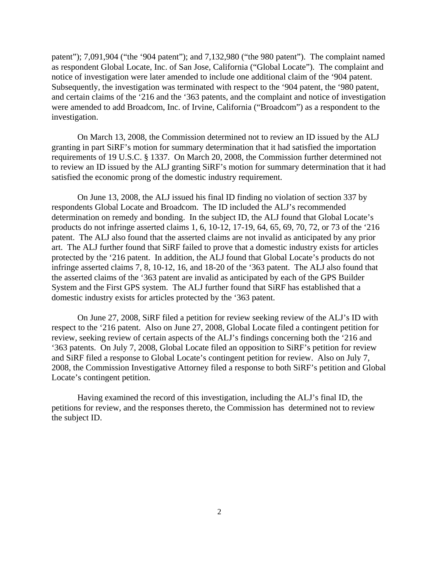patent"); 7,091,904 ("the '904 patent"); and 7,132,980 ("the 980 patent"). The complaint named as respondent Global Locate, Inc. of San Jose, California ("Global Locate"). The complaint and notice of investigation were later amended to include one additional claim of the '904 patent. Subsequently, the investigation was terminated with respect to the '904 patent, the '980 patent, and certain claims of the '216 and the '363 patents, and the complaint and notice of investigation were amended to add Broadcom, Inc. of Irvine, California ("Broadcom") as a respondent to the investigation.

On March 13, 2008, the Commission determined not to review an ID issued by the ALJ granting in part SiRF's motion for summary determination that it had satisfied the importation requirements of 19 U.S.C. § 1337. On March 20, 2008, the Commission further determined not to review an ID issued by the ALJ granting SiRF's motion for summary determination that it had satisfied the economic prong of the domestic industry requirement.

On June 13, 2008, the ALJ issued his final ID finding no violation of section 337 by respondents Global Locate and Broadcom. The ID included the ALJ's recommended determination on remedy and bonding. In the subject ID, the ALJ found that Global Locate's products do not infringe asserted claims 1, 6, 10-12, 17-19, 64, 65, 69, 70, 72, or 73 of the '216 patent. The ALJ also found that the asserted claims are not invalid as anticipated by any prior art. The ALJ further found that SiRF failed to prove that a domestic industry exists for articles protected by the '216 patent. In addition, the ALJ found that Global Locate's products do not infringe asserted claims 7, 8, 10-12, 16, and 18-20 of the '363 patent. The ALJ also found that the asserted claims of the '363 patent are invalid as anticipated by each of the GPS Builder System and the First GPS system. The ALJ further found that SiRF has established that a domestic industry exists for articles protected by the '363 patent.

On June 27, 2008, SiRF filed a petition for review seeking review of the ALJ's ID with respect to the '216 patent. Also on June 27, 2008, Global Locate filed a contingent petition for review, seeking review of certain aspects of the ALJ's findings concerning both the '216 and '363 patents. On July 7, 2008, Global Locate filed an opposition to SiRF's petition for review and SiRF filed a response to Global Locate's contingent petition for review. Also on July 7, 2008, the Commission Investigative Attorney filed a response to both SiRF's petition and Global Locate's contingent petition.

Having examined the record of this investigation, including the ALJ's final ID, the petitions for review, and the responses thereto, the Commission has determined not to review the subject ID.